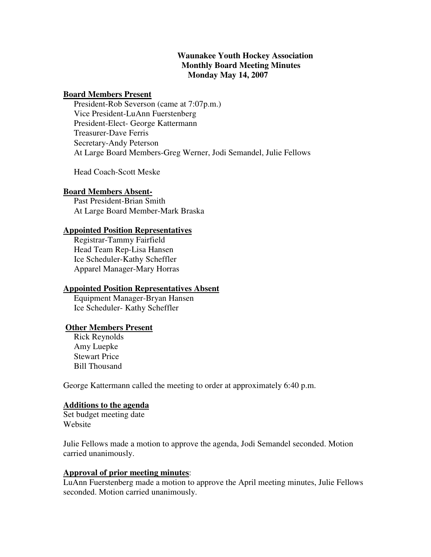# **Waunakee Youth Hockey Association Monthly Board Meeting Minutes Monday May 14, 2007**

### **Board Members Present**

 President-Rob Severson (came at 7:07p.m.) Vice President-LuAnn Fuerstenberg President-Elect- George Kattermann Treasurer-Dave Ferris Secretary-Andy Peterson At Large Board Members-Greg Werner, Jodi Semandel, Julie Fellows

Head Coach-Scott Meske

### **Board Members Absent-**

 Past President-Brian Smith At Large Board Member-Mark Braska

# **Appointed Position Representatives**

 Registrar-Tammy Fairfield Head Team Rep-Lisa Hansen Ice Scheduler-Kathy Scheffler Apparel Manager-Mary Horras

### **Appointed Position Representatives Absent**

 Equipment Manager-Bryan Hansen Ice Scheduler- Kathy Scheffler

## **Other Members Present**

 Rick Reynolds Amy Luepke Stewart Price Bill Thousand

George Kattermann called the meeting to order at approximately 6:40 p.m.

### **Additions to the agenda**

Set budget meeting date Website

Julie Fellows made a motion to approve the agenda, Jodi Semandel seconded. Motion carried unanimously.

# **Approval of prior meeting minutes**:

LuAnn Fuerstenberg made a motion to approve the April meeting minutes, Julie Fellows seconded. Motion carried unanimously.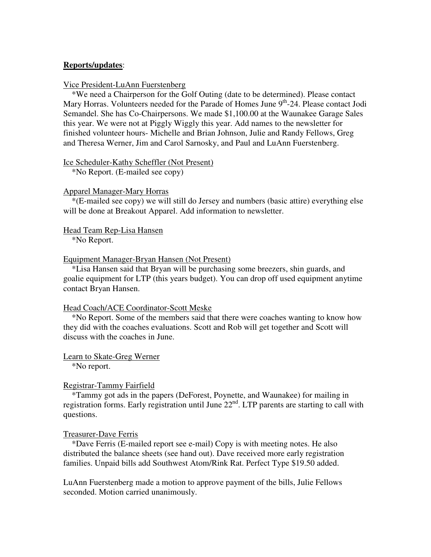## **Reports/updates**:

## Vice President-LuAnn Fuerstenberg

\*We need a Chairperson for the Golf Outing (date to be determined). Please contact Mary Horras. Volunteers needed for the Parade of Homes June 9<sup>th</sup>-24. Please contact Jodi Semandel. She has Co-Chairpersons. We made \$1,100.00 at the Waunakee Garage Sales this year. We were not at Piggly Wiggly this year. Add names to the newsletter for finished volunteer hours- Michelle and Brian Johnson, Julie and Randy Fellows, Greg and Theresa Werner, Jim and Carol Sarnosky, and Paul and LuAnn Fuerstenberg.

### Ice Scheduler-Kathy Scheffler (Not Present)

\*No Report. (E-mailed see copy)

#### Apparel Manager-Mary Horras

 \*(E-mailed see copy) we will still do Jersey and numbers (basic attire) everything else will be done at Breakout Apparel. Add information to newsletter.

#### Head Team Rep-Lisa Hansen

\*No Report.

## Equipment Manager-Bryan Hansen (Not Present)

 \*Lisa Hansen said that Bryan will be purchasing some breezers, shin guards, and goalie equipment for LTP (this years budget). You can drop off used equipment anytime contact Bryan Hansen.

#### Head Coach/ACE Coordinator-Scott Meske

 \*No Report. Some of the members said that there were coaches wanting to know how they did with the coaches evaluations. Scott and Rob will get together and Scott will discuss with the coaches in June.

#### Learn to Skate-Greg Werner

\*No report.

### Registrar-Tammy Fairfield

 \*Tammy got ads in the papers (DeForest, Poynette, and Waunakee) for mailing in registration forms. Early registration until June  $22<sup>nd</sup>$ . LTP parents are starting to call with questions.

### Treasurer-Dave Ferris

 \*Dave Ferris (E-mailed report see e-mail) Copy is with meeting notes. He also distributed the balance sheets (see hand out). Dave received more early registration families. Unpaid bills add Southwest Atom/Rink Rat. Perfect Type \$19.50 added.

LuAnn Fuerstenberg made a motion to approve payment of the bills, Julie Fellows seconded. Motion carried unanimously.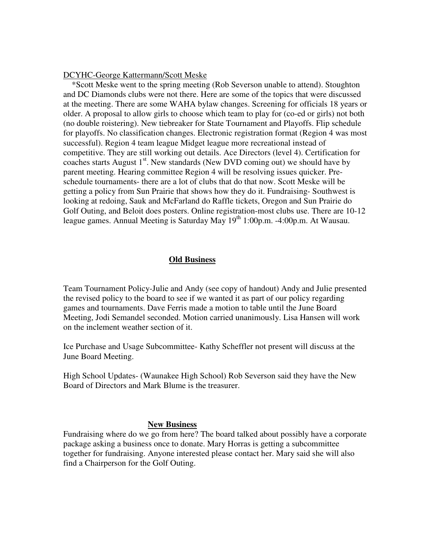## DCYHC-George Kattermann/Scott Meske

 \*Scott Meske went to the spring meeting (Rob Severson unable to attend). Stoughton and DC Diamonds clubs were not there. Here are some of the topics that were discussed at the meeting. There are some WAHA bylaw changes. Screening for officials 18 years or older. A proposal to allow girls to choose which team to play for (co-ed or girls) not both (no double roistering). New tiebreaker for State Tournament and Playoffs. Flip schedule for playoffs. No classification changes. Electronic registration format (Region 4 was most successful). Region 4 team league Midget league more recreational instead of competitive. They are still working out details. Ace Directors (level 4). Certification for coaches starts August  $1<sup>st</sup>$ . New standards (New DVD coming out) we should have by parent meeting. Hearing committee Region 4 will be resolving issues quicker. Preschedule tournaments- there are a lot of clubs that do that now. Scott Meske will be getting a policy from Sun Prairie that shows how they do it. Fundraising- Southwest is looking at redoing, Sauk and McFarland do Raffle tickets, Oregon and Sun Prairie do Golf Outing, and Beloit does posters. Online registration-most clubs use. There are 10-12 league games. Annual Meeting is Saturday May  $19<sup>th</sup> 1:00p.m. -4:00p.m.$  At Wausau.

## **Old Business**

Team Tournament Policy-Julie and Andy (see copy of handout) Andy and Julie presented the revised policy to the board to see if we wanted it as part of our policy regarding games and tournaments. Dave Ferris made a motion to table until the June Board Meeting, Jodi Semandel seconded. Motion carried unanimously. Lisa Hansen will work on the inclement weather section of it.

Ice Purchase and Usage Subcommittee- Kathy Scheffler not present will discuss at the June Board Meeting.

High School Updates- (Waunakee High School) Rob Severson said they have the New Board of Directors and Mark Blume is the treasurer.

### **New Business**

Fundraising where do we go from here? The board talked about possibly have a corporate package asking a business once to donate. Mary Horras is getting a subcommittee together for fundraising. Anyone interested please contact her. Mary said she will also find a Chairperson for the Golf Outing.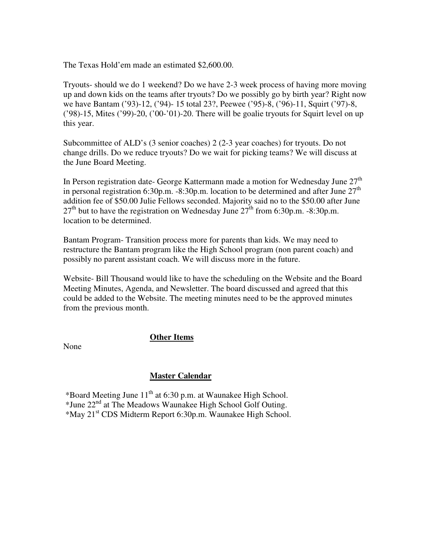The Texas Hold'em made an estimated \$2,600.00.

Tryouts- should we do 1 weekend? Do we have 2-3 week process of having more moving up and down kids on the teams after tryouts? Do we possibly go by birth year? Right now we have Bantam ('93)-12, ('94)- 15 total 23?, Peewee ('95)-8, ('96)-11, Squirt ('97)-8, ('98)-15, Mites ('99)-20, ('00-'01)-20. There will be goalie tryouts for Squirt level on up this year.

Subcommittee of ALD's (3 senior coaches) 2 (2-3 year coaches) for tryouts. Do not change drills. Do we reduce tryouts? Do we wait for picking teams? We will discuss at the June Board Meeting.

In Person registration date- George Kattermann made a motion for Wednesday June  $27<sup>th</sup>$ in personal registration 6:30p.m. -8:30p.m. location to be determined and after June  $27<sup>th</sup>$ addition fee of \$50.00 Julie Fellows seconded. Majority said no to the \$50.00 after June  $27<sup>th</sup>$  but to have the registration on Wednesday June  $27<sup>th</sup>$  from 6:30p.m. -8:30p.m. location to be determined.

Bantam Program- Transition process more for parents than kids. We may need to restructure the Bantam program like the High School program (non parent coach) and possibly no parent assistant coach. We will discuss more in the future.

Website- Bill Thousand would like to have the scheduling on the Website and the Board Meeting Minutes, Agenda, and Newsletter. The board discussed and agreed that this could be added to the Website. The meeting minutes need to be the approved minutes from the previous month.

# **Other Items**

None

# **Master Calendar**

\*Board Meeting June  $11<sup>th</sup>$  at 6:30 p.m. at Waunakee High School. \*June 22nd at The Meadows Waunakee High School Golf Outing. \*May 21st CDS Midterm Report 6:30p.m. Waunakee High School.